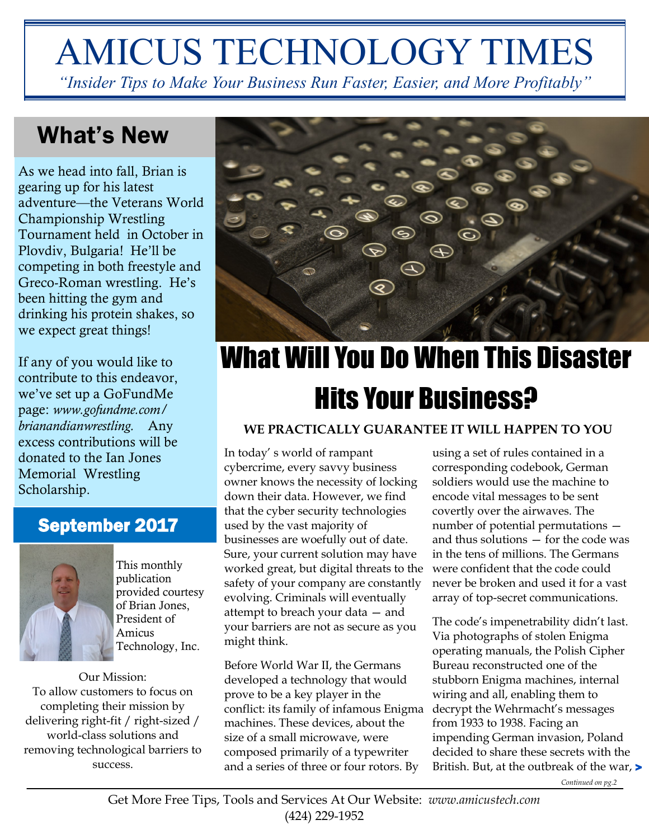# AMICUS TECHNOLOGY TIMES

*"Insider Tips to Make Your Business Run Faster, Easier, and More Profitably"*

## What's New

As we head into fall, Brian is gearing up for his latest adventure—the Veterans World Championship Wrestling Tournament held in October in Plovdiv, Bulgaria! He'll be competing in both freestyle and Greco-Roman wrestling. He's been hitting the gym and drinking his protein shakes, so we expect great things!

If any of you would like to contribute to this endeavor, we've set up a GoFundMe page: *www.gofundme.com/ brianandianwrestling.* Any excess contributions will be donated to the Ian Jones Memorial Wrestling Scholarship.

#### September 2017



This monthly publication provided courtesy of Brian Jones, President of Amicus Technology, Inc.

Our Mission: To allow customers to focus on completing their mission by delivering right-fit / right-sized / world-class solutions and removing technological barriers to success.



## What Will You Do When This Disaster Hits Your Business?

#### **WE PRACTICALLY GUARANTEE IT WILL HAPPEN TO YOU**

In today' s world of rampant cybercrime, every savvy business owner knows the necessity of locking down their data. However, we find that the cyber security technologies used by the vast majority of businesses are woefully out of date. Sure, your current solution may have worked great, but digital threats to the safety of your company are constantly evolving. Criminals will eventually attempt to breach your data — and your barriers are not as secure as you might think.

Before World War II, the Germans developed a technology that would prove to be a key player in the conflict: its family of infamous Enigma machines. These devices, about the size of a small microwave, were composed primarily of a typewriter and a series of three or four rotors. By

using a set of rules contained in a corresponding codebook, German soldiers would use the machine to encode vital messages to be sent covertly over the airwaves. The number of potential permutations and thus solutions — for the code was in the tens of millions. The Germans were confident that the code could never be broken and used it for a vast array of top-secret communications.

The code's impenetrability didn't last. Via photographs of stolen Enigma operating manuals, the Polish Cipher Bureau reconstructed one of the stubborn Enigma machines, internal wiring and all, enabling them to decrypt the Wehrmacht's messages from 1933 to 1938. Facing an impending German invasion, Poland decided to share these secrets with the British. But, at the outbreak of the war,  $\blacktriangleright$ 

*Continued on pg.2*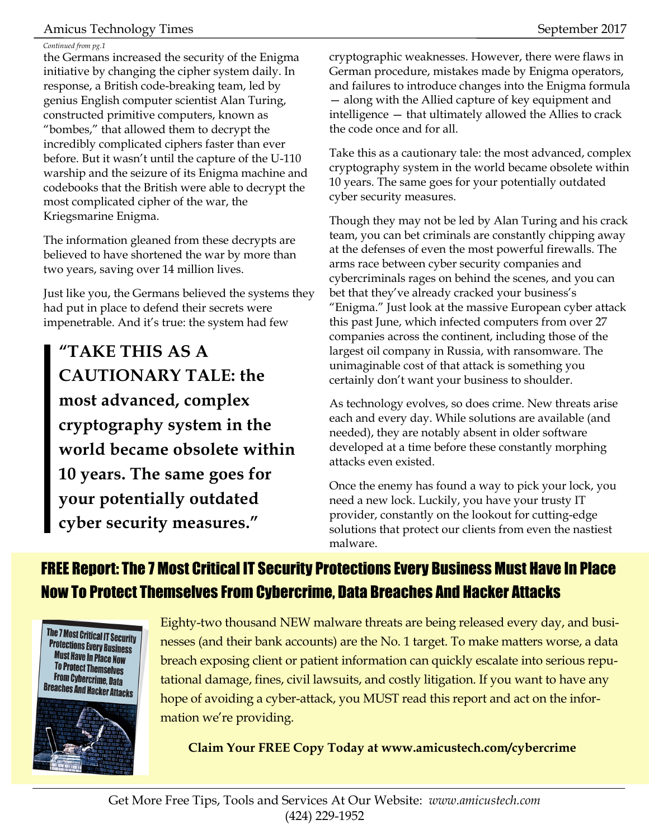#### Amicus Technology Times September 2017

#### *Continued from pg.1*

the Germans increased the security of the Enigma initiative by changing the cipher system daily. In response, a British code-breaking team, led by genius English computer scientist Alan Turing, constructed primitive computers, known as "bombes," that allowed them to decrypt the incredibly complicated ciphers faster than ever before. But it wasn't until the capture of the U-110 warship and the seizure of its Enigma machine and codebooks that the British were able to decrypt the most complicated cipher of the war, the Kriegsmarine Enigma.

The information gleaned from these decrypts are believed to have shortened the war by more than two years, saving over 14 million lives.

Just like you, the Germans believed the systems they had put in place to defend their secrets were impenetrable. And it's true: the system had few

**"TAKE THIS AS A CAUTIONARY TALE: the most advanced, complex cryptography system in the world became obsolete within 10 years. The same goes for your potentially outdated cyber security measures."**

cryptographic weaknesses. However, there were flaws in German procedure, mistakes made by Enigma operators, and failures to introduce changes into the Enigma formula — along with the Allied capture of key equipment and intelligence — that ultimately allowed the Allies to crack the code once and for all.

Take this as a cautionary tale: the most advanced, complex cryptography system in the world became obsolete within 10 years. The same goes for your potentially outdated cyber security measures.

Though they may not be led by Alan Turing and his crack team, you can bet criminals are constantly chipping away at the defenses of even the most powerful firewalls. The arms race between cyber security companies and cybercriminals rages on behind the scenes, and you can bet that they've already cracked your business's "Enigma." Just look at the massive European cyber attack this past June, which infected computers from over 27 companies across the continent, including those of the largest oil company in Russia, with ransomware. The unimaginable cost of that attack is something you certainly don't want your business to shoulder.

As technology evolves, so does crime. New threats arise each and every day. While solutions are available (and needed), they are notably absent in older software developed at a time before these constantly morphing attacks even existed.

Once the enemy has found a way to pick your lock, you need a new lock. Luckily, you have your trusty IT provider, constantly on the lookout for cutting-edge solutions that protect our clients from even the nastiest malware.

#### FREE Report: The 7 Most Critical IT Security Protections Every Business Must Have In Place Now To Protect Themselves From Cybercrime, Data Breaches And Hacker Attacks





Eighty-two thousand NEW malware threats are being released every day, and businesses (and their bank accounts) are the No. 1 target. To make matters worse, a data breach exposing client or patient information can quickly escalate into serious reputational damage, fines, civil lawsuits, and costly litigation. If you want to have any hope of avoiding a cyber-attack, you MUST read this report and act on the information we're providing.

**Claim Your FREE Copy Today at www.amicustech.com/cybercrime**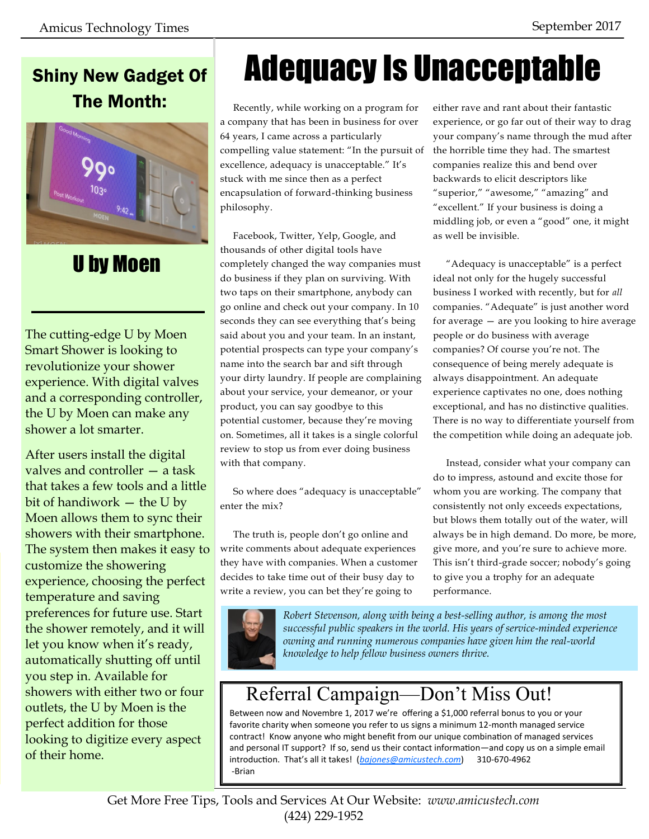#### Shiny New Gadget Of The Month:



### U by Moen

The cutting-edge U by Moen Smart Shower is looking to revolutionize your shower experience. With digital valves and a corresponding controller, the U by Moen can make any shower a lot smarter.

After users install the digital valves and controller — a task that takes a few tools and a little bit of handiwork  $-$  the U by Moen allows them to sync their showers with their smartphone. The system then makes it easy to customize the showering experience, choosing the perfect temperature and saving preferences for future use. Start the shower remotely, and it will let you know when it's ready, automatically shutting off until you step in. Available for showers with either two or four outlets, the U by Moen is the perfect addition for those looking to digitize every aspect of their home.

## Adequacy Is Unacceptable

 Recently, while working on a program for a company that has been in business for over 64 years, I came across a particularly compelling value statement: "In the pursuit of excellence, adequacy is unacceptable." It's stuck with me since then as a perfect encapsulation of forward-thinking business philosophy.

 Facebook, Twitter, Yelp, Google, and thousands of other digital tools have completely changed the way companies must do business if they plan on surviving. With two taps on their smartphone, anybody can go online and check out your company. In 10 seconds they can see everything that's being said about you and your team. In an instant, potential prospects can type your company's name into the search bar and sift through your dirty laundry. If people are complaining about your service, your demeanor, or your product, you can say goodbye to this potential customer, because they're moving on. Sometimes, all it takes is a single colorful review to stop us from ever doing business with that company.

 So where does "adequacy is unacceptable" enter the mix?

 The truth is, people don't go online and write comments about adequate experiences they have with companies. When a customer decides to take time out of their busy day to write a review, you can bet they're going to

either rave and rant about their fantastic experience, or go far out of their way to drag your company's name through the mud after the horrible time they had. The smartest companies realize this and bend over backwards to elicit descriptors like "superior," "awesome," "amazing" and "excellent." If your business is doing a middling job, or even a "good" one, it might as well be invisible.

 "Adequacy is unacceptable" is a perfect ideal not only for the hugely successful business I worked with recently, but for *all* companies. "Adequate" is just another word for average — are you looking to hire average people or do business with average companies? Of course you're not. The consequence of being merely adequate is always disappointment. An adequate experience captivates no one, does nothing exceptional, and has no distinctive qualities. There is no way to differentiate yourself from the competition while doing an adequate job.

 Instead, consider what your company can do to impress, astound and excite those for whom you are working. The company that consistently not only exceeds expectations, but blows them totally out of the water, will always be in high demand. Do more, be more, give more, and you're sure to achieve more. This isn't third-grade soccer; nobody's going to give you a trophy for an adequate performance.



*Robert Stevenson, along with being a best-selling author, is among the most successful public speakers in the world. His years of service-minded experience owning and running numerous companies have given him the real-world knowledge to help fellow business owners thrive.*

### Referral Campaign—Don't Miss Out!

Between now and Novembre 1, 2017 we're offering a \$1,000 referral bonus to you or your favorite charity when someone you refer to us signs a minimum 12-month managed service contract! Know anyone who might benefit from our unique combination of managed services and personal IT support? If so, send us their contact information—and copy us on a simple email introduction. That's all it takes! (*[bajones@amicustech.com](mailto:bajones@amicustech.com?subject=I%20hav%20a%20referral%20for%20you!)*) 310-670-4962 -Brian